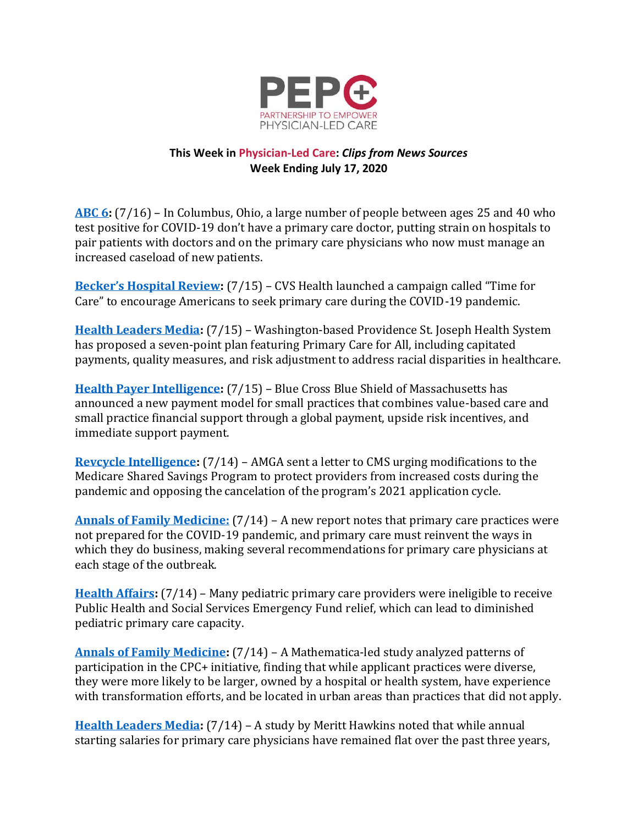

## **This Week in Physician-Led Care:** *Clips from News Sources* **Week Ending July 17, 2020**

**[ABC 6:](https://abc6onyourside.com/news/local/patients-testing-positive-for-covid-19-dont-have-a-primary-care-doctor)** (7/16) – In Columbus, Ohio, a large number of people between ages 25 and 40 who test positive for COVID-19 don't have a primary care doctor, putting strain on hospitals to pair patients with doctors and on the primary care physicians who now must manage an increased caseload of new patients.

**[Becker's Hospital Review](https://www.beckershospitalreview.com/pharmacy/cvs-health-launches-campaign-to-encourage-primary-care-during-pandemic.html):** (7/15) – CVS Health launched a campaign called "Time for Care" to encourage Americans to seek primary care during the COVID-19 pandemic.

**[Health Leaders Media:](https://www.healthleadersmedia.com/clinical-care/primary-care-all-among-proposals-address-healthcare-disparities)** (7/15) – Washington-based Providence St. Joseph Health System has proposed a seven-point plan featuring Primary Care for All, including capitated payments, quality measures, and risk adjustment to address racial disparities in healthcare.

**[Health Payer Intelligence:](https://healthpayerintelligence.com/news/payer-fuses-value-based-care-support-payments-for-small-practices)** (7/15) – Blue Cross Blue Shield of Massachusetts has announced a new payment model for small practices that combines value-based care and small practice financial support through a global payment, upside risk incentives, and immediate support payment.

**[Revcycle Intelligence:](https://revcycleintelligence.com/news/amga-calls-for-medicare-shared-savings-program-changes-amid-covid-19)** (7/14) – AMGA sent a letter to CMS urging modifications to the Medicare Shared Savings Program to protect providers from increased costs during the pandemic and opposing the cancelation of the program's 2021 application cycle.

**[Annals of Family Medicine:](http://link.mediaoutreach.meltwater.com/ls/click?upn=e0zUnTFACR0mG9Nbu8ZA1rLxfOl2kPA6xyAcoLi4ksLq9LlnYi1rPtEoRU-2BRCZ-2FovJT-2BfV5NJeNJe8t06ydORg-3D-3DsS60_ZmrEEU1UbMQo3gxo1AWjeR0ykFQl5V8zyYQUHkWgPRES78-2FKn0b5UqPgWcAk3H1PcNePMW33YT00Jm67w9BeO7gxM44J0T5JF1vgMw6q6rhQWXstXSbdS3DtrFGXQ967pzsWcBpoVWBsRjqkVM5NnIAUKypXYBaC5M2HRdK0SPO1Qao6BW2xBRl2A4jHzVyDhZuVWGvMphrA8hraTNXOvoZNydONLmUCW2GVBZKvuWDZu-2BHKSEucAHwX9CXO2AogFyUmq9PORv2B1J3wnZR18jpvOQyvfonSa-2FO9vKNlziNYAQmS5l1ok4KUPi7JyEvcrlFSklmSRW-2BM24YQtXj0U3GHA-2Flk90g-2Br2sP5ruRvJcNDYWT09Z79k54N4-2FNBRhlMWJgQ2IfE6HirwV-2FWxaKtQ-3D-3D)** (7/14) – A new report notes that primary care practices were not prepared for the COVID-19 pandemic, and primary care must reinvent the ways in which they do business, making several recommendations for primary care physicians at each stage of the outbreak.

**[Health Affairs:](https://www.healthaffairs.org/do/10.1377/hblog20200708.554908/full/)** (7/14) – Many pediatric primary care providers were ineligible to receive Public Health and Social Services Emergency Fund relief, which can lead to diminished pediatric primary care capacity.

**[Annals of Family Medicine:](https://www.annfammed.org/content/18/4/309)** (7/14) – A Mathematica-led study analyzed patterns of participation in the CPC+ initiative, finding that while applicant practices were diverse, they were more likely to be larger, owned by a hospital or health system, have experience with transformation efforts, and be located in urban areas than practices that did not apply.

**[Health Leaders](https://www.healthleadersmedia.com/clinical-care/coronavirus-pandemic-flips-clinician-workforce-market) Media:** (7/14) – A study by Meritt Hawkins noted that while annual starting salaries for primary care physicians have remained flat over the past three years,